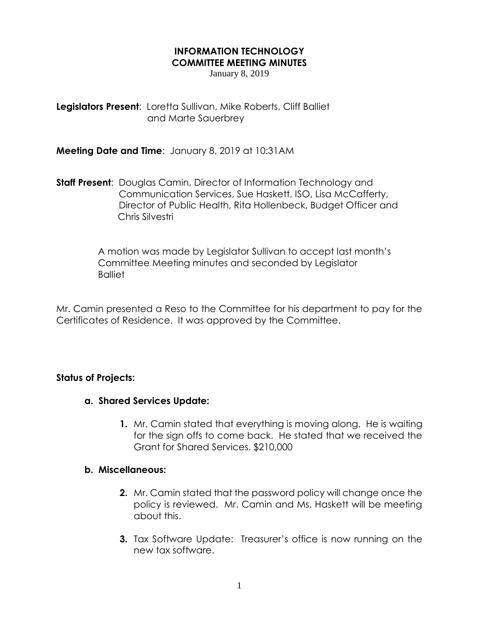## **INFORMATION TECHNOLOGY COMMITTEE MEETING MINUTES**

January 8, 2019

**Legislators Present**: Loretta Sullivan, Mike Roberts, Cliff Balliet and Marte Sauerbrey

**Meeting Date and Time**: January 8, 2019 at 10:31AM

**Staff Present**: Douglas Camin, Director of Information Technology and Communication Services, Sue Haskett, ISO, Lisa McCafferty, Director of Public Health, Rita Hollenbeck, Budget Officer and Chris Silvestri

> A motion was made by Legislator Sullivan to accept last month's Committee Meeting minutes and seconded by Legislator **Balliet**

Mr. Camin presented a Reso to the Committee for his department to pay for the Certificates of Residence. It was approved by the Committee.

## **Status of Projects:**

- **a. Shared Services Update:**
	- **1.** Mr. Camin stated that everything is moving along. He is waiting for the sign offs to come back. He stated that we received the Grant for Shared Services. \$210,000

## **b. Miscellaneous:**

- **2.** Mr. Camin stated that the password policy will change once the policy is reviewed. Mr. Camin and Ms. Haskett will be meeting about this.
- **3.** Tax Software Update: Treasurer's office is now running on the new tax software.